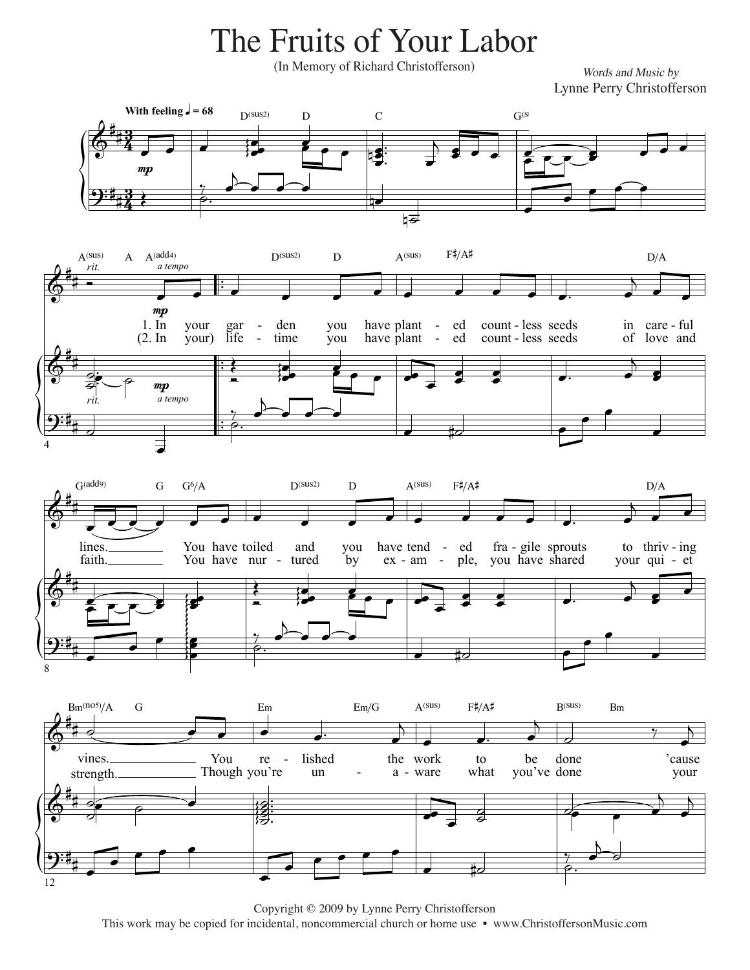The Fruits of Your Labor

(In Memory of Richard Christofferson)

Words and Music by Lynne Perry Christofferson



Copyright © 2009 by Lynne Perry Christofferson

This work may be copied for incidental, noncommercial church or home use • www.ChristoffersonMusic.com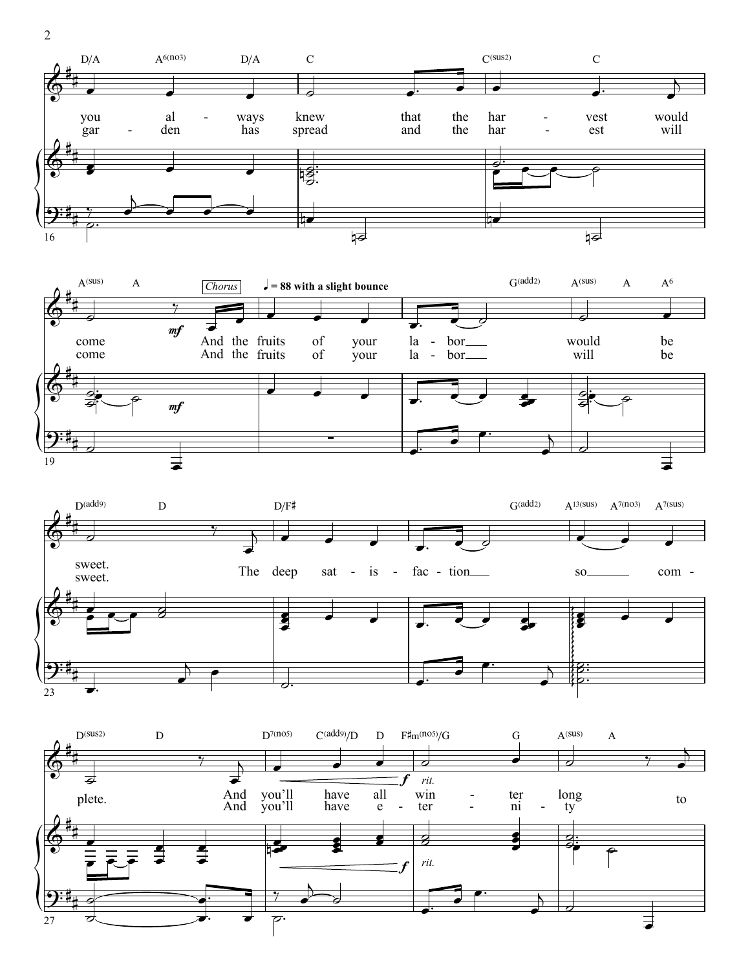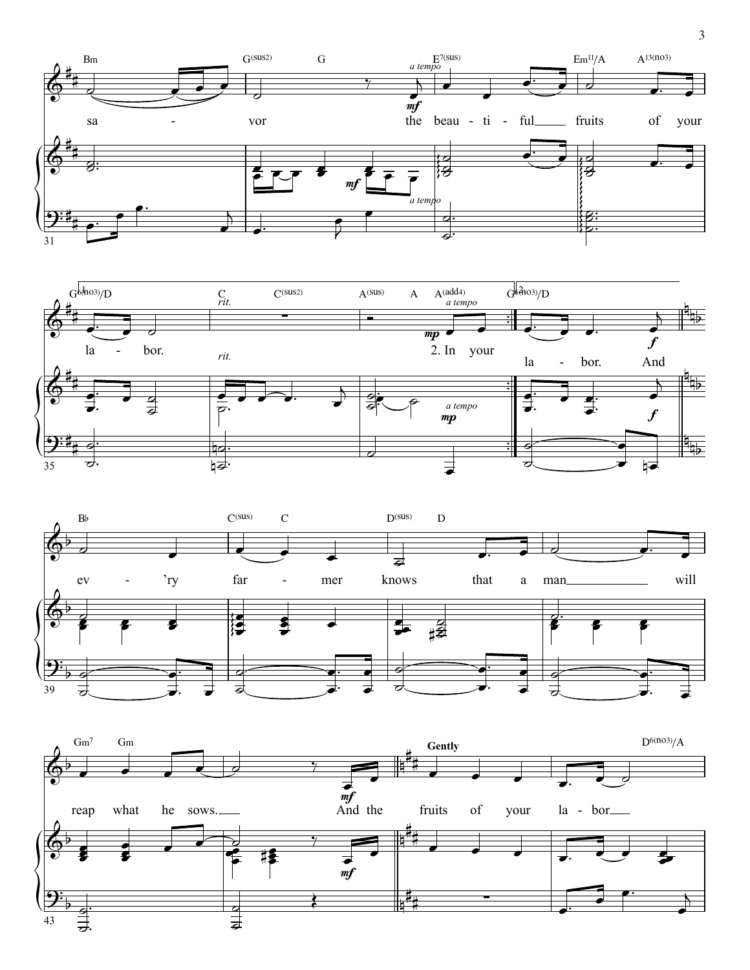